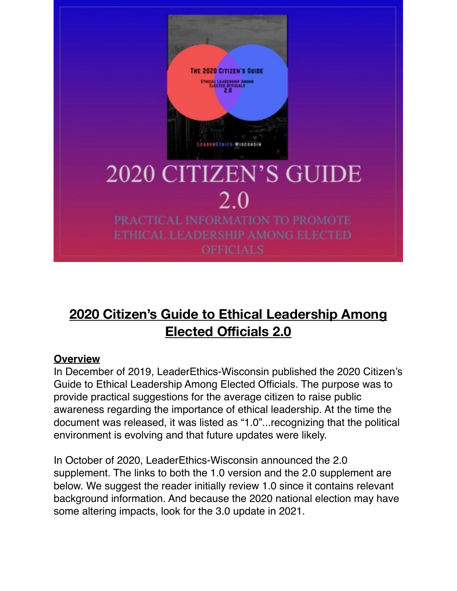

# **2020 Citizen's Guide to Ethical Leadership Among Elected Officials 2.0**

#### **Overview**

In December of 2019, LeaderEthics-Wisconsin published the 2020 Citizen's Guide to Ethical Leadership Among Elected Officials. The purpose was to provide practical suggestions for the average citizen to raise public awareness regarding the importance of ethical leadership. At the time the document was released, it was listed as "1.0"...recognizing that the political environment is evolving and that future updates were likely.

In October of 2020, LeaderEthics-Wisconsin announced the 2.0 supplement. The links to both the 1.0 version and the 2.0 supplement are below. We suggest the reader initially review 1.0 since it contains relevant background information. And because the 2020 national election may have some altering impacts, look for the 3.0 update in 2021.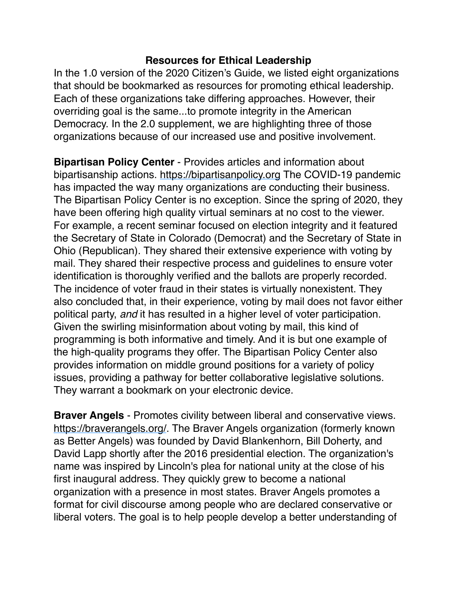## **Resources for Ethical Leadership**

In the 1.0 version of the 2020 Citizen's Guide, we listed eight organizations that should be bookmarked as resources for promoting ethical leadership. Each of these organizations take differing approaches. However, their overriding goal is the same...to promote integrity in the American Democracy. In the 2.0 supplement, we are highlighting three of those organizations because of our increased use and positive involvement.

**Bipartisan Policy Center** - Provides articles and information about bipartisanship actions. [https://bipartisanpolicy.org](https://bipartisanpolicy.org/) The COVID-19 pandemic has impacted the way many organizations are conducting their business. The Bipartisan Policy Center is no exception. Since the spring of 2020, they have been offering high quality virtual seminars at no cost to the viewer. For example, a recent seminar focused on election integrity and it featured the Secretary of State in Colorado (Democrat) and the Secretary of State in Ohio (Republican). They shared their extensive experience with voting by mail. They shared their respective process and guidelines to ensure voter identification is thoroughly verified and the ballots are properly recorded. The incidence of voter fraud in their states is virtually nonexistent. They also concluded that, in their experience, voting by mail does not favor either political party, *and* it has resulted in a higher level of voter participation. Given the swirling misinformation about voting by mail, this kind of programming is both informative and timely. And it is but one example of the high-quality programs they offer. The Bipartisan Policy Center also provides information on middle ground positions for a variety of policy issues, providing a pathway for better collaborative legislative solutions. They warrant a bookmark on your electronic device.

**Braver Angels** - Promotes civility between liberal and conservative views. [https://braverangels.org/.](https://braverangels.org/) The Braver Angels organization (formerly known as Better Angels) was founded by David Blankenhorn, Bill Doherty, and David Lapp shortly after the 2016 presidential election. The organization's name was inspired by Lincoln's plea for national unity at the close of his first inaugural address. They quickly grew to become a national organization with a presence in most states. Braver Angels promotes a format for civil discourse among people who are declared conservative or liberal voters. The goal is to help people develop a better understanding of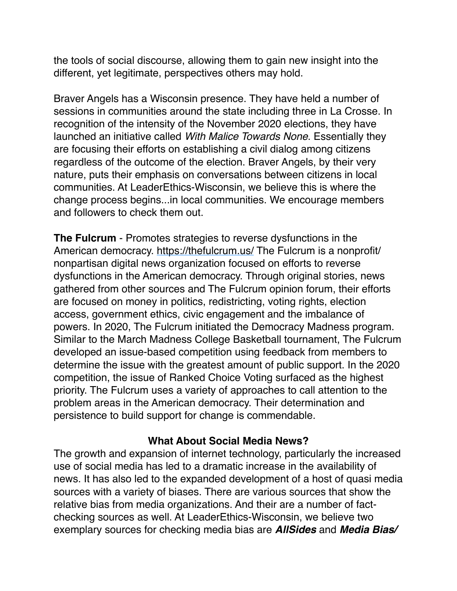the tools of social discourse, allowing them to gain new insight into the different, yet legitimate, perspectives others may hold.

Braver Angels has a Wisconsin presence. They have held a number of sessions in communities around the state including three in La Crosse. In recognition of the intensity of the November 2020 elections, they have launched an initiative called *With Malice Towards None*. Essentially they are focusing their efforts on establishing a civil dialog among citizens regardless of the outcome of the election. Braver Angels, by their very nature, puts their emphasis on conversations between citizens in local communities. At LeaderEthics-Wisconsin, we believe this is where the change process begins...in local communities. We encourage members and followers to check them out.

**The Fulcrum** - Promotes strategies to reverse dysfunctions in the American democracy.<https://thefulcrum.us/> The Fulcrum is a nonprofit/ nonpartisan digital news organization focused on efforts to reverse dysfunctions in the American democracy. Through original stories, news gathered from other sources and The Fulcrum opinion forum, their efforts are focused on money in politics, redistricting, voting rights, election access, government ethics, civic engagement and the imbalance of powers. In 2020, The Fulcrum initiated the Democracy Madness program. Similar to the March Madness College Basketball tournament, The Fulcrum developed an issue-based competition using feedback from members to determine the issue with the greatest amount of public support. In the 2020 competition, the issue of Ranked Choice Voting surfaced as the highest priority. The Fulcrum uses a variety of approaches to call attention to the problem areas in the American democracy. Their determination and persistence to build support for change is commendable.

#### **What About Social Media News?**

The growth and expansion of internet technology, particularly the increased use of social media has led to a dramatic increase in the availability of news. It has also led to the expanded development of a host of quasi media sources with a variety of biases. There are various sources that show the relative bias from media organizations. And their are a number of factchecking sources as well. At LeaderEthics-Wisconsin, we believe two exemplary sources for checking media bias are *AllSides* and *Media Bias/*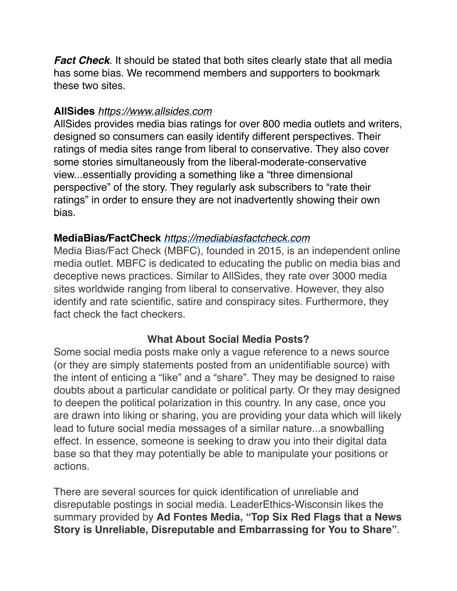*Fact Check*. It should be stated that both sites clearly state that all media has some bias. We recommend members and supporters to bookmark these two sites.

## **AllSides** *[https://www.allsides.com](https://www.allsides.com/)*

AllSides provides media bias ratings for over 800 media outlets and writers, designed so consumers can easily identify different perspectives. Their ratings of media sites range from liberal to conservative. They also cover some stories simultaneously from the liberal-moderate-conservative view...essentially providing a something like a "three dimensional perspective" of the story. They regularly ask subscribers to "rate their ratings" in order to ensure they are not inadvertently showing their own bias.

#### **MediaBias/FactCheck** *[https://mediabiasfactcheck.com](https://mediabiasfactcheck.com/)*

Media Bias/Fact Check (MBFC), founded in 2015, is an independent online media outlet. MBFC is dedicated to educating the public on media bias and deceptive news practices. Similar to AllSides, they rate over 3000 media sites worldwide ranging from liberal to conservative. However, they also identify and rate scientific, satire and conspiracy sites. Furthermore, they fact check the fact checkers.

## **What About Social Media Posts?**

Some social media posts make only a vague reference to a news source (or they are simply statements posted from an unidentifiable source) with the intent of enticing a "like" and a "share". They may be designed to raise doubts about a particular candidate or political party. Or they may designed to deepen the political polarization in this country. In any case, once you are drawn into liking or sharing, you are providing your data which will likely lead to future social media messages of a similar nature...a snowballing effect. In essence, someone is seeking to draw you into their digital data base so that they may potentially be able to manipulate your positions or actions.

There are several sources for quick identification of unreliable and disreputable postings in social media. LeaderEthics-Wisconsin likes the summary provided by **Ad Fontes Media, "Top Six Red Flags that a News Story is Unreliable, Disreputable and Embarrassing for You to Share"**.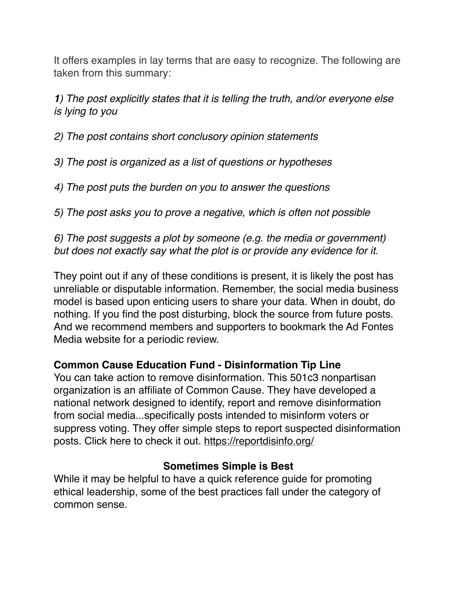It offers examples in lay terms that are easy to recognize. The following are taken from this summary:

*1) The post explicitly states that it is telling the truth, and/or everyone else is lying to you*

*2) The post contains short conclusory opinion statements*

- *3) The post is organized as a list of questions or hypotheses*
- *4) The post puts the burden on you to answer the questions*

*5) The post asks you to prove a negative, which is often not possible*

# *6) The post suggests a plot by someone (e.g. the media or government) but does not exactly say what the plot is or provide any evidence for it.*

They point out if any of these conditions is present, it is likely the post has unreliable or disputable information. Remember, the social media business model is based upon enticing users to share your data. When in doubt, do nothing. If you find the post disturbing, block the source from future posts. And we recommend members and supporters to bookmark the Ad Fontes Media website for a periodic review.

# **Common Cause Education Fund - Disinformation Tip Line**

You can take action to remove disinformation. This 501c3 nonpartisan organization is an affiliate of Common Cause. They have developed a national network designed to identify, report and remove disinformation from social media...specifically posts intended to misinform voters or suppress voting. They offer simple steps to report suspected disinformation posts. Click here to check it out. <https://reportdisinfo.org/>

# **Sometimes Simple is Best**

While it may be helpful to have a quick reference guide for promoting ethical leadership, some of the best practices fall under the category of common sense.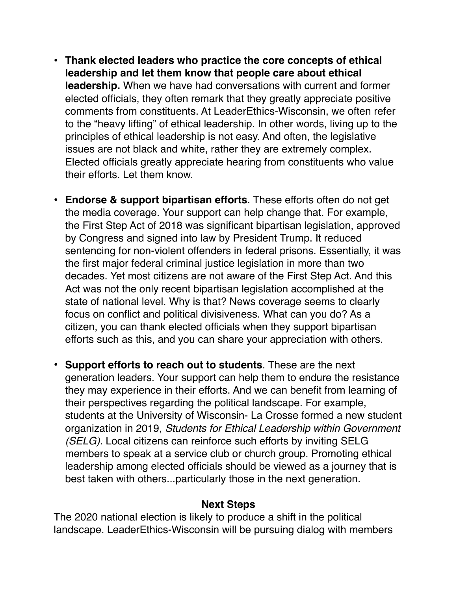- **Thank elected leaders who practice the core concepts of ethical leadership and let them know that people care about ethical leadership.** When we have had conversations with current and former elected officials, they often remark that they greatly appreciate positive comments from constituents. At LeaderEthics-Wisconsin, we often refer to the "heavy lifting" of ethical leadership. In other words, living up to the principles of ethical leadership is not easy. And often, the legislative issues are not black and white, rather they are extremely complex. Elected officials greatly appreciate hearing from constituents who value their efforts. Let them know.
- **Endorse & support bipartisan efforts**. These efforts often do not get the media coverage. Your support can help change that. For example, the First Step Act of 2018 was significant bipartisan legislation, approved by Congress and signed into law by President Trump. It reduced sentencing for non-violent offenders in federal prisons. Essentially, it was the first major federal criminal justice legislation in more than two decades. Yet most citizens are not aware of the First Step Act. And this Act was not the only recent bipartisan legislation accomplished at the state of national level. Why is that? News coverage seems to clearly focus on conflict and political divisiveness. What can you do? As a citizen, you can thank elected officials when they support bipartisan efforts such as this, and you can share your appreciation with others.
- **Support efforts to reach out to students**. These are the next generation leaders. Your support can help them to endure the resistance they may experience in their efforts. And we can benefit from learning of their perspectives regarding the political landscape. For example, students at the University of Wisconsin- La Crosse formed a new student organization in 2019, *Students for Ethical Leadership within Government (SELG).* Local citizens can reinforce such efforts by inviting SELG members to speak at a service club or church group. Promoting ethical leadership among elected officials should be viewed as a journey that is best taken with others...particularly those in the next generation.

#### **Next Steps**

The 2020 national election is likely to produce a shift in the political landscape. LeaderEthics-Wisconsin will be pursuing dialog with members